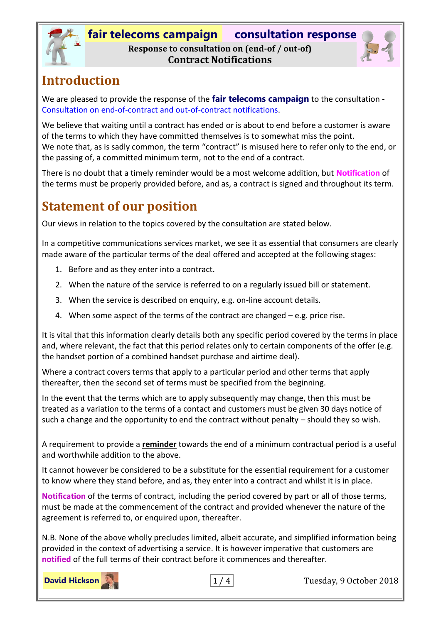



## **Introduction**

We are pleased to provide the response of the **fair telecoms campaign** to the consultation - [Consultation on end-of-contract and out-of-contract notifications.](https://www.ofcom.org.uk/consultations-and-statements/category-2/end-of-contract-notifications)

We believe that waiting until a contract has ended or is about to end before a customer is aware of the terms to which they have committed themselves is to somewhat miss the point. We note that, as is sadly common, the term "contract" is misused here to refer only to the end, or the passing of, a committed minimum term, not to the end of a contract.

There is no doubt that a timely reminder would be a most welcome addition, but **Notification** of the terms must be properly provided before, and as, a contract is signed and throughout its term.

# **Statement of our position**

Our views in relation to the topics covered by the consultation are stated below.

In a competitive communications services market, we see it as essential that consumers are clearly made aware of the particular terms of the deal offered and accepted at the following stages:

- 1. Before and as they enter into a contract.
- 2. When the nature of the service is referred to on a regularly issued bill or statement.
- 3. When the service is described on enquiry, e.g. on-line account details.
- 4. When some aspect of the terms of the contract are changed e.g. price rise.

It is vital that this information clearly details both any specific period covered by the terms in place and, where relevant, the fact that this period relates only to certain components of the offer (e.g. the handset portion of a combined handset purchase and airtime deal).

Where a contract covers terms that apply to a particular period and other terms that apply thereafter, then the second set of terms must be specified from the beginning.

In the event that the terms which are to apply subsequently may change, then this must be treated as a variation to the terms of a contact and customers must be given 30 days notice of such a change and the opportunity to end the contract without penalty – should they so wish.

A requirement to provide a **reminder** towards the end of a minimum contractual period is a useful and worthwhile addition to the above.

It cannot however be considered to be a substitute for the essential requirement for a customer to know where they stand before, and as, they enter into a contract and whilst it is in place.

**Notification** of the terms of contract, including the period covered by part or all of those terms, must be made at the commencement of the contract and provided whenever the nature of the agreement is referred to, or enquired upon, thereafter.

N.B. None of the above wholly precludes limited, albeit accurate, and simplified information being provided in the context of advertising a service. It is however imperative that customers are **notified** of the full terms of their contract before it commences and thereafter.

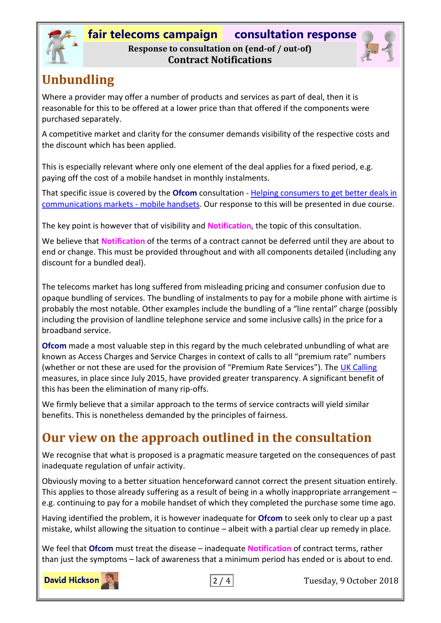

## **fair telecoms campaign consultation response**

#### **Response to consultation on (end-of / out-of) Contract Notifications**



# **Unbundling**

Where a provider may offer a number of products and services as part of deal, then it is reasonable for this to be offered at a lower price than that offered if the components were purchased separately.

A competitive market and clarity for the consumer demands visibility of the respective costs and the discount which has been applied.

This is especially relevant where only one element of the deal applies for a fixed period, e.g. paying off the cost of a mobile handset in monthly instalments.

That specific issue is covered by the **Ofcom** consultation - [Helping consumers to get better deals in](https://www.ofcom.org.uk/consultations-and-statements/category-2/consumers-communications-markets-mobile-handsets)  [communications markets -](https://www.ofcom.org.uk/consultations-and-statements/category-2/consumers-communications-markets-mobile-handsets) mobile handsets. Our response to this will be presented in due course.

The key point is however that of visibility and **Notification**, the topic of this consultation.

We believe that **Notification** of the terms of a contract cannot be deferred until they are about to end or change. This must be provided throughout and with all components detailed (including any discount for a bundled deal).

The telecoms market has long suffered from misleading pricing and consumer confusion due to opaque bundling of services. The bundling of instalments to pay for a mobile phone with airtime is probably the most notable. Other examples include the bundling of a "line rental" charge (possibly including the provision of landline telephone service and some inclusive calls) in the price for a broadband service.

**Ofcom** made a most valuable step in this regard by the much celebrated unbundling of what are known as Access Charges and Service Charges in context of calls to all "premium rate" numbers (whether or not these are used for the provision of "Premium Rate Services"). The UK [Calling](https://www.ofcom.org.uk/phones-telecoms-and-internet/advice-for-consumers/advice/uk-calling) measures, in place since July 2015, have provided greater transparency. A significant benefit of this has been the elimination of many rip-offs.

We firmly believe that a similar approach to the terms of service contracts will yield similar benefits. This is nonetheless demanded by the principles of fairness.

# **Our view on the approach outlined in the consultation**

We recognise that what is proposed is a pragmatic measure targeted on the consequences of past inadequate regulation of unfair activity.

Obviously moving to a better situation henceforward cannot correct the present situation entirely. This applies to those already suffering as a result of being in a wholly inappropriate arrangement – e.g. continuing to pay for a mobile handset of which they completed the purchase some time ago.

Having identified the problem, it is however inadequate for **Ofcom** to seek only to clear up a past mistake, whilst allowing the situation to continue – albeit with a partial clear up remedy in place.

We feel that **Ofcom** must treat the disease – inadequate **Notification** of contract terms, rather than just the symptoms – lack of awareness that a minimum period has ended or is about to end.

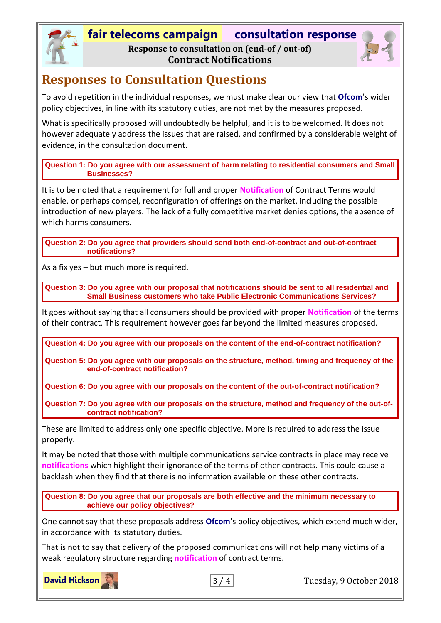### **fair telecoms campaign consultation response**

**Response to consultation on (end-of / out-of) Contract Notifications**



## **Responses to Consultation Questions**

To avoid repetition in the individual responses, we must make clear our view that **Ofcom**'s wider policy objectives, in line with its statutory duties, are not met by the measures proposed.

What is specifically proposed will undoubtedly be helpful, and it is to be welcomed. It does not however adequately address the issues that are raised, and confirmed by a considerable weight of evidence, in the consultation document.

**Question 1: Do you agree with our assessment of harm relating to residential consumers and Small Businesses?** 

It is to be noted that a requirement for full and proper **Notification** of Contract Terms would enable, or perhaps compel, reconfiguration of offerings on the market, including the possible introduction of new players. The lack of a fully competitive market denies options, the absence of which harms consumers.

**Question 2: Do you agree that providers should send both end-of-contract and out-of-contract notifications?**

As a fix yes – but much more is required.

**Question 3: Do you agree with our proposal that notifications should be sent to all residential and Small Business customers who take Public Electronic Communications Services?** 

It goes without saying that all consumers should be provided with proper **Notification** of the terms of their contract. This requirement however goes far beyond the limited measures proposed.

**Question 4: Do you agree with our proposals on the content of the end-of-contract notification?**

**Question 5: Do you agree with our proposals on the structure, method, timing and frequency of the end-of-contract notification?**

**Question 6: Do you agree with our proposals on the content of the out-of-contract notification?** 

**Question 7: Do you agree with our proposals on the structure, method and frequency of the out-ofcontract notification?**

These are limited to address only one specific objective. More is required to address the issue properly.

It may be noted that those with multiple communications service contracts in place may receive **notifications** which highlight their ignorance of the terms of other contracts. This could cause a backlash when they find that there is no information available on these other contracts.

**Question 8: Do you agree that our proposals are both effective and the minimum necessary to achieve our policy objectives?**

One cannot say that these proposals address **Ofcom**'s policy objectives, which extend much wider, in accordance with its statutory duties.

That is not to say that delivery of the proposed communications will not help many victims of a weak regulatory structure regarding **notification** of contract terms.